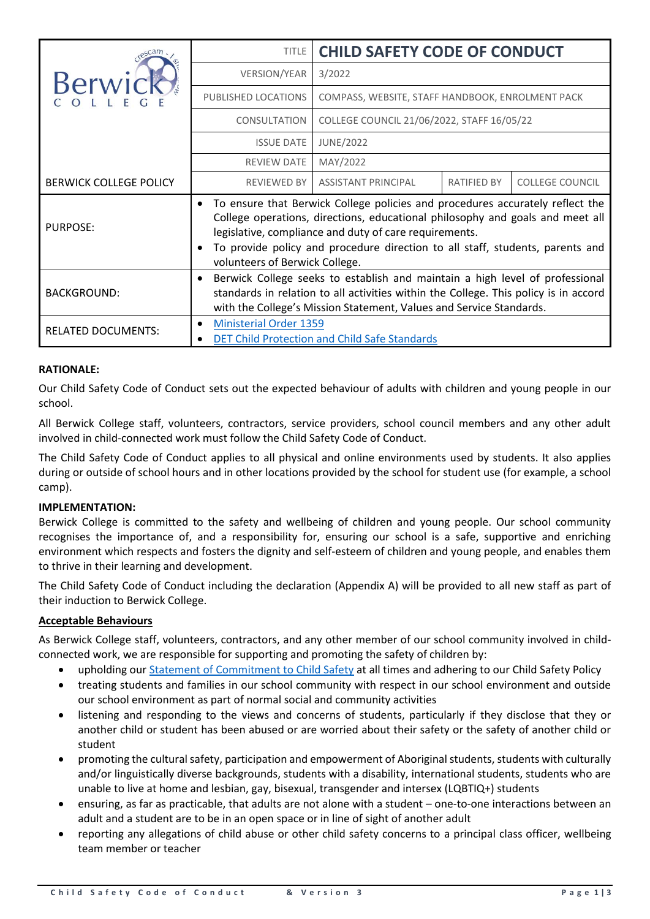|                               | <b>TITLE</b>                                                                                                                                                                                                                                | <b>CHILD SAFETY CODE OF CONDUCT</b>                                                                                                                                                                                                                                                                                                         |                    |                        |  |  |
|-------------------------------|---------------------------------------------------------------------------------------------------------------------------------------------------------------------------------------------------------------------------------------------|---------------------------------------------------------------------------------------------------------------------------------------------------------------------------------------------------------------------------------------------------------------------------------------------------------------------------------------------|--------------------|------------------------|--|--|
|                               | <b>VERSION/YEAR</b>                                                                                                                                                                                                                         | 3/2022                                                                                                                                                                                                                                                                                                                                      |                    |                        |  |  |
| Berwi                         | PUBLISHED LOCATIONS                                                                                                                                                                                                                         | COMPASS, WEBSITE, STAFF HANDBOOK, ENROLMENT PACK                                                                                                                                                                                                                                                                                            |                    |                        |  |  |
|                               | <b>CONSULTATION</b>                                                                                                                                                                                                                         | COLLEGE COUNCIL 21/06/2022, STAFF 16/05/22                                                                                                                                                                                                                                                                                                  |                    |                        |  |  |
|                               | <b>ISSUE DATE</b>                                                                                                                                                                                                                           | <b>JUNE/2022</b>                                                                                                                                                                                                                                                                                                                            |                    |                        |  |  |
|                               | <b>REVIEW DATE</b>                                                                                                                                                                                                                          | MAY/2022                                                                                                                                                                                                                                                                                                                                    |                    |                        |  |  |
| <b>BERWICK COLLEGE POLICY</b> | <b>REVIEWED BY</b>                                                                                                                                                                                                                          | <b>ASSISTANT PRINCIPAL</b>                                                                                                                                                                                                                                                                                                                  | <b>RATIFIED BY</b> | <b>COLLEGE COUNCIL</b> |  |  |
| <b>PURPOSE:</b>               | $\bullet$                                                                                                                                                                                                                                   | To ensure that Berwick College policies and procedures accurately reflect the<br>College operations, directions, educational philosophy and goals and meet all<br>legislative, compliance and duty of care requirements.<br>To provide policy and procedure direction to all staff, students, parents and<br>volunteers of Berwick College. |                    |                        |  |  |
| <b>BACKGROUND:</b>            | Berwick College seeks to establish and maintain a high level of professional<br>standards in relation to all activities within the College. This policy is in accord<br>with the College's Mission Statement, Values and Service Standards. |                                                                                                                                                                                                                                                                                                                                             |                    |                        |  |  |
| <b>RELATED DOCUMENTS:</b>     | <b>Ministerial Order 1359</b>                                                                                                                                                                                                               | <b>DET Child Protection and Child Safe Standards</b>                                                                                                                                                                                                                                                                                        |                    |                        |  |  |

# **RATIONALE:**

Our Child Safety Code of Conduct sets out the expected behaviour of adults with children and young people in our school.

All Berwick College staff, volunteers, contractors, service providers, school council members and any other adult involved in child-connected work must follow the Child Safety Code of Conduct.

The Child Safety Code of Conduct applies to all physical and online environments used by students. It also applies during or outside of school hours and in other locations provided by the school for student use (for example, a school camp).

# **IMPLEMENTATION:**

Berwick College is committed to the safety and wellbeing of children and young people. Our school community recognises the importance of, and a responsibility for, ensuring our school is a safe, supportive and enriching environment which respects and fosters the dignity and self-esteem of children and young people, and enables them to thrive in their learning and development.

The Child Safety Code of Conduct including the declaration (Appendix A) will be provided to all new staff as part of their induction to Berwick College.

# **Acceptable Behaviours**

As Berwick College staff, volunteers, contractors, and any other member of our school community involved in childconnected work, we are responsible for supporting and promoting the safety of children by:

- upholding our [Statement of Commitment to Child Safety](https://www.berwickcollege.vic.edu.au/wp-content/uploads/2011/12/Berwick-College-Statement-of-Commitment-to-Child-Safety.pdf) at all times and adhering to our Child Safety Policy
- treating students and families in our school community with respect in our school environment and outside our school environment as part of normal social and community activities
- listening and responding to the views and concerns of students, particularly if they disclose that they or another child or student has been abused or are worried about their safety or the safety of another child or student
- promoting the cultural safety, participation and empowerment of Aboriginal students, students with culturally and/or linguistically diverse backgrounds, students with a disability, international students, students who are unable to live at home and lesbian, gay, bisexual, transgender and intersex (LQBTIQ+) students
- ensuring, as far as practicable, that adults are not alone with a student one-to-one interactions between an adult and a student are to be in an open space or in line of sight of another adult
- reporting any allegations of child abuse or other child safety concerns to a principal class officer, wellbeing team member or teacher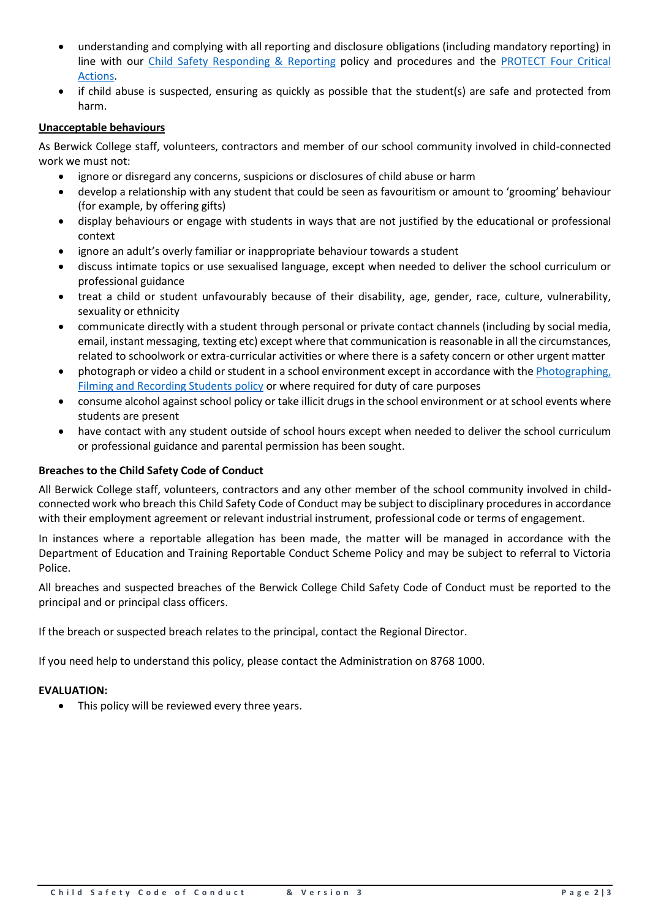- understanding and complying with all reporting and disclosure obligations (including mandatory reporting) in line with our [Child Safety Responding &](https://www.berwickcollege.vic.edu.au/elementor-12818/) Reporting policy and procedures and the [PROTECT Four Critical](https://www.education.vic.gov.au/Documents/about/programs/health/protect/FourCriticalActions_ChildAbuse.pdf)  [Actions.](https://www.education.vic.gov.au/Documents/about/programs/health/protect/FourCriticalActions_ChildAbuse.pdf)
- if child abuse is suspected, ensuring as quickly as possible that the student(s) are safe and protected from harm.

# **Unacceptable behaviours**

As Berwick College staff, volunteers, contractors and member of our school community involved in child-connected work we must not:

- ignore or disregard any concerns, suspicions or disclosures of child abuse or harm
- develop a relationship with any student that could be seen as favouritism or amount to 'grooming' behaviour (for example, by offering gifts)
- display behaviours or engage with students in ways that are not justified by the educational or professional context
- ignore an adult's overly familiar or inappropriate behaviour towards a student
- discuss intimate topics or use sexualised language, except when needed to deliver the school curriculum or professional guidance
- treat a child or student unfavourably because of their disability, age, gender, race, culture, vulnerability, sexuality or ethnicity
- communicate directly with a student through personal or private contact channels (including by social media, email, instant messaging, texting etc) except where that communication is reasonable in all the circumstances, related to schoolwork or extra-curricular activities or where there is a safety concern or other urgent matter
- photograph or video a child or student in a school environment except in accordance with the [Photographing,](https://www2.education.vic.gov.au/pal/photographing-students/policy)  [Filming and Recording Students policy](https://www2.education.vic.gov.au/pal/photographing-students/policy) or where required for duty of care purposes
- consume alcohol against school policy or take illicit drugs in the school environment or at school events where students are present
- have contact with any student outside of school hours except when needed to deliver the school curriculum or professional guidance and parental permission has been sought.

# **Breaches to the Child Safety Code of Conduct**

All Berwick College staff, volunteers, contractors and any other member of the school community involved in childconnected work who breach this Child Safety Code of Conduct may be subject to disciplinary procedures in accordance with their employment agreement or relevant industrial instrument, professional code or terms of engagement.

In instances where a reportable allegation has been made, the matter will be managed in accordance with the Department of Education and Training Reportable Conduct Scheme Policy and may be subject to referral to Victoria Police.

All breaches and suspected breaches of the Berwick College Child Safety Code of Conduct must be reported to the principal and or principal class officers.

If the breach or suspected breach relates to the principal, contact the Regional Director.

If you need help to understand this policy, please contact the Administration on 8768 1000.

# **EVALUATION:**

• This policy will be reviewed every three years.